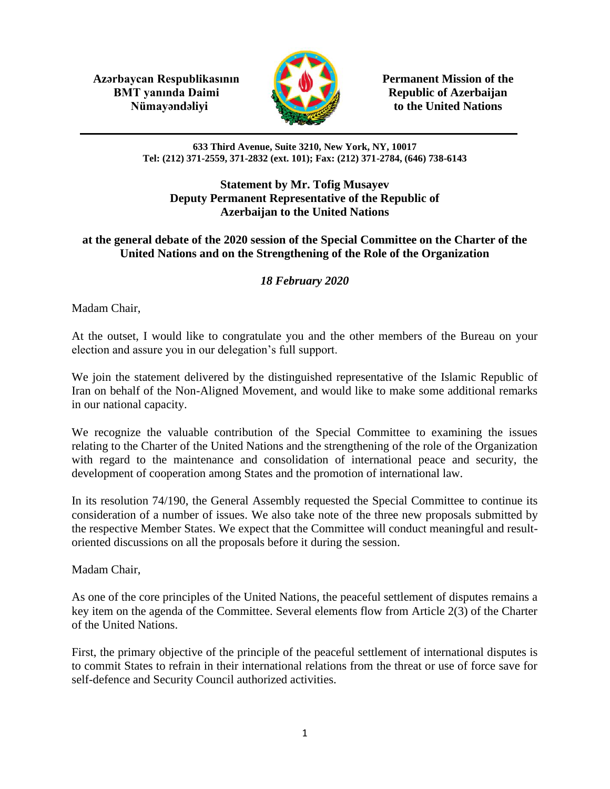**Azərbaycan Respublikasının Permanent Mission of the BMT yanında Daimi Republic of Azerbaijan** 



**Nümayəndəliyi** to the United Nations

**633 Third Avenue, Suite 3210, New York, NY, 10017 Tel: (212) 371-2559, 371-2832 (ext. 101); Fax: (212) 371-2784, (646) 738-6143**

## **Statement by Mr. Tofig Musayev Deputy Permanent Representative of the Republic of Azerbaijan to the United Nations**

## **at the general debate of the 2020 session of the Special Committee on the Charter of the United Nations and on the Strengthening of the Role of the Organization**

## *18 February 2020*

Madam Chair,

At the outset, I would like to congratulate you and the other members of the Bureau on your election and assure you in our delegation's full support.

We join the statement delivered by the distinguished representative of the Islamic Republic of Iran on behalf of the Non-Aligned Movement, and would like to make some additional remarks in our national capacity.

We recognize the valuable contribution of the Special Committee to examining the issues relating to the Charter of the United Nations and the strengthening of the role of the Organization with regard to the maintenance and consolidation of international peace and security, the development of cooperation among States and the promotion of international law.

In its resolution 74/190, the General Assembly requested the Special Committee to continue its consideration of a number of issues. We also take note of the three new proposals submitted by the respective Member States. We expect that the Committee will conduct meaningful and resultoriented discussions on all the proposals before it during the session.

Madam Chair,

As one of the core principles of the United Nations, the peaceful settlement of disputes remains a key item on the agenda of the Committee. Several elements flow from Article 2(3) of the Charter of the United Nations.

First, the primary objective of the principle of the peaceful settlement of international disputes is to commit States to refrain in their international relations from the threat or use of force save for self-defence and Security Council authorized activities.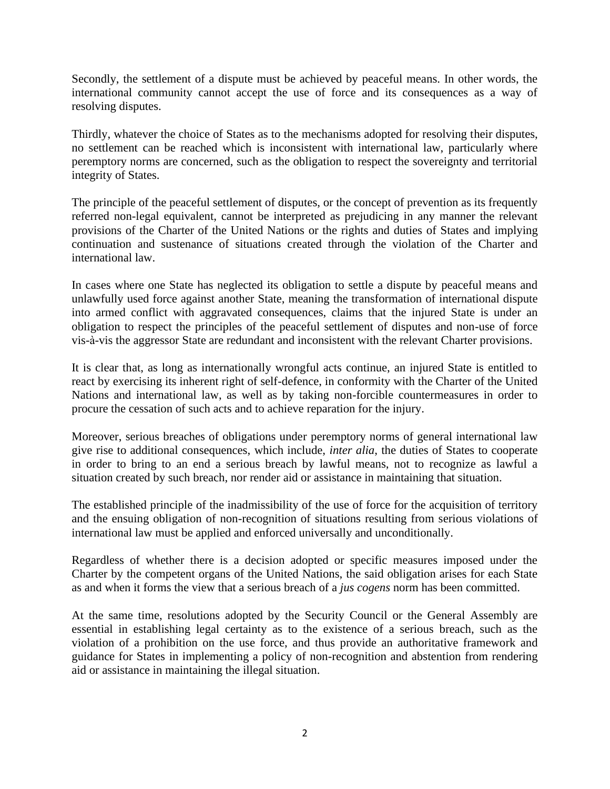Secondly, the settlement of a dispute must be achieved by peaceful means. In other words, the international community cannot accept the use of force and its consequences as a way of resolving disputes.

Thirdly, whatever the choice of States as to the mechanisms adopted for resolving their disputes, no settlement can be reached which is inconsistent with international law, particularly where peremptory norms are concerned, such as the obligation to respect the sovereignty and territorial integrity of States.

The principle of the peaceful settlement of disputes, or the concept of prevention as its frequently referred non-legal equivalent, cannot be interpreted as prejudicing in any manner the relevant provisions of the Charter of the United Nations or the rights and duties of States and implying continuation and sustenance of situations created through the violation of the Charter and international law.

In cases where one State has neglected its obligation to settle a dispute by peaceful means and unlawfully used force against another State, meaning the transformation of international dispute into armed conflict with aggravated consequences, claims that the injured State is under an obligation to respect the principles of the peaceful settlement of disputes and non-use of force vis-à-vis the aggressor State are redundant and inconsistent with the relevant Charter provisions.

It is clear that, as long as internationally wrongful acts continue, an injured State is entitled to react by exercising its inherent right of self-defence, in conformity with the Charter of the United Nations and international law, as well as by taking non-forcible countermeasures in order to procure the cessation of such acts and to achieve reparation for the injury.

Moreover, serious breaches of obligations under peremptory norms of general international law give rise to additional consequences, which include, *inter alia*, the duties of States to cooperate in order to bring to an end a serious breach by lawful means, not to recognize as lawful a situation created by such breach, nor render aid or assistance in maintaining that situation.

The established principle of the inadmissibility of the use of force for the acquisition of territory and the ensuing obligation of non-recognition of situations resulting from serious violations of international law must be applied and enforced universally and unconditionally.

Regardless of whether there is a decision adopted or specific measures imposed under the Charter by the competent organs of the United Nations, the said obligation arises for each State as and when it forms the view that a serious breach of a *jus cogens* norm has been committed.

At the same time, resolutions adopted by the Security Council or the General Assembly are essential in establishing legal certainty as to the existence of a serious breach, such as the violation of a prohibition on the use force, and thus provide an authoritative framework and guidance for States in implementing a policy of non-recognition and abstention from rendering aid or assistance in maintaining the illegal situation.